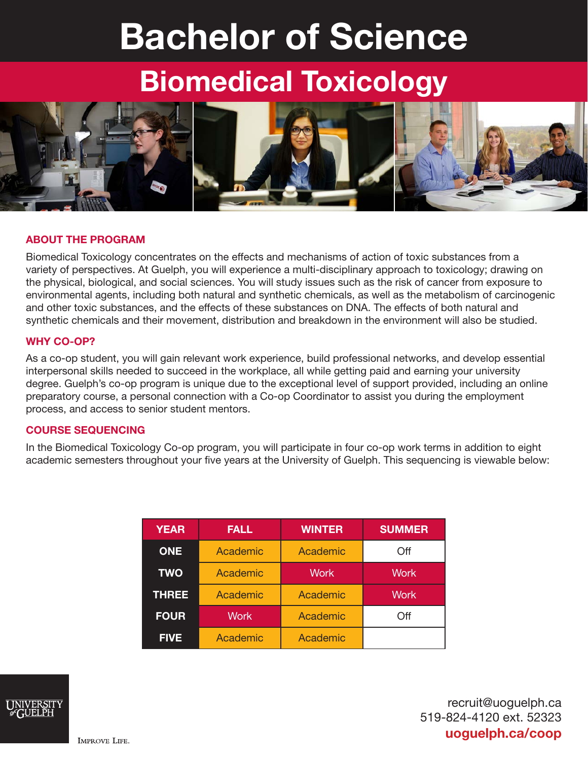# Bachelor of Science

## Biomedical Toxicology



#### ABOUT THE PROGRAM

Biomedical Toxicology concentrates on the effects and mechanisms of action of toxic substances from a variety of perspectives. At Guelph, you will experience a multi-disciplinary approach to toxicology; drawing on the physical, biological, and social sciences. You will study issues such as the risk of cancer from exposure to environmental agents, including both natural and synthetic chemicals, as well as the metabolism of carcinogenic and other toxic substances, and the effects of these substances on DNA. The effects of both natural and synthetic chemicals and their movement, distribution and breakdown in the environment will also be studied.

#### WHY CO-OP?

As a co-op student, you will gain relevant work experience, build professional networks, and develop essential interpersonal skills needed to succeed in the workplace, all while getting paid and earning your university degree. Guelph's co-op program is unique due to the exceptional level of support provided, including an online preparatory course, a personal connection with a Co-op Coordinator to assist you during the employment process, and access to senior student mentors.

#### COURSE SEQUENCING

In the Biomedical Toxicology Co-op program, you will participate in four co-op work terms in addition to eight academic semesters throughout your five years at the University of Guelph. This sequencing is viewable below:

| <b>YEAR</b>  | <b>FALL</b> | <b>WINTER</b> | <b>SUMMER</b> |
|--------------|-------------|---------------|---------------|
| <b>ONE</b>   | Academic    | Academic      | Off           |
| <b>TWO</b>   | Academic    | Work          | <b>Work</b>   |
| <b>THREE</b> | Academic    | Academic      | <b>Work</b>   |
| <b>FOUR</b>  | <b>Work</b> | Academic      | Off           |
| <b>FIVE</b>  | Academic    | Academic      |               |



recruit@uoguelph.ca 519-824-4120 ext. 52323 uoguelph.ca/coop